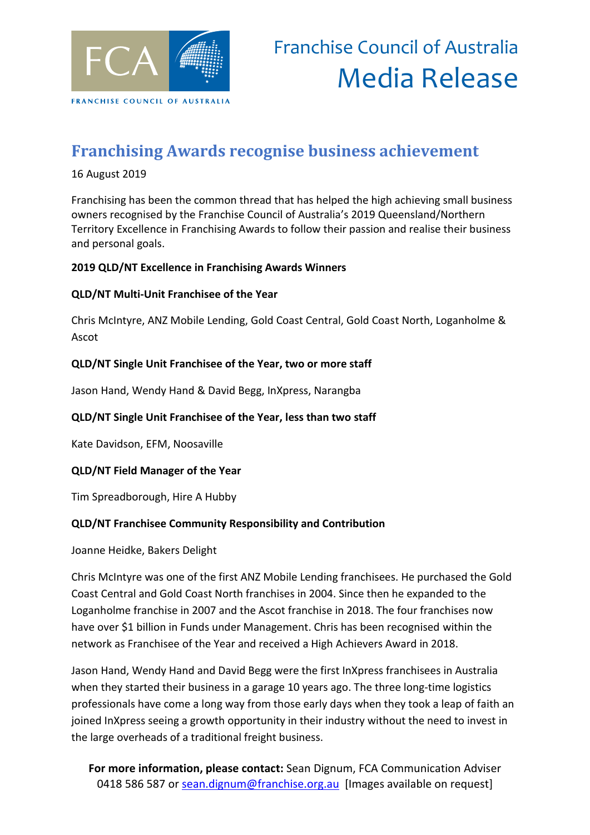

# Franchise Council of Australia Media Release

### **Franchising Awards recognise business achievement**

#### 16 August 2019

Franchising has been the common thread that has helped the high achieving small business owners recognised by the Franchise Council of Australia's 2019 Queensland/Northern Territory Excellence in Franchising Awards to follow their passion and realise their business and personal goals.

#### **2019 QLD/NT Excellence in Franchising Awards Winners**

#### **QLD/NT Multi-Unit Franchisee of the Year**

Chris McIntyre, ANZ Mobile Lending, Gold Coast Central, Gold Coast North, Loganholme & Ascot

#### **QLD/NT Single Unit Franchisee of the Year, two or more staff**

Jason Hand, Wendy Hand & David Begg, InXpress, Narangba

#### **QLD/NT Single Unit Franchisee of the Year, less than two staff**

Kate Davidson, EFM, Noosaville

#### **QLD/NT Field Manager of the Year**

Tim Spreadborough, Hire A Hubby

#### **QLD/NT Franchisee Community Responsibility and Contribution**

Joanne Heidke, Bakers Delight

Chris McIntyre was one of the first ANZ Mobile Lending franchisees. He purchased the Gold Coast Central and Gold Coast North franchises in 2004. Since then he expanded to the Loganholme franchise in 2007 and the Ascot franchise in 2018. The four franchises now have over \$1 billion in Funds under Management. Chris has been recognised within the network as Franchisee of the Year and received a High Achievers Award in 2018.

Jason Hand, Wendy Hand and David Begg were the first InXpress franchisees in Australia when they started their business in a garage 10 years ago. The three long-time logistics professionals have come a long way from those early days when they took a leap of faith an joined InXpress seeing a growth opportunity in their industry without the need to invest in the large overheads of a traditional freight business.

**For more information, please contact:** Sean Dignum, FCA Communication Adviser 0418 586 587 or [sean.dignum@franchise.org.au](mailto:sean.dignum@franchise.org.au) [Images available on request]